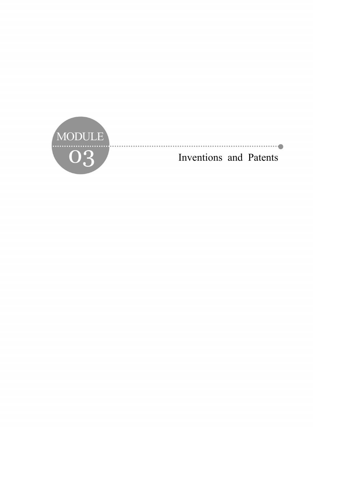

O3 Inventions and Patents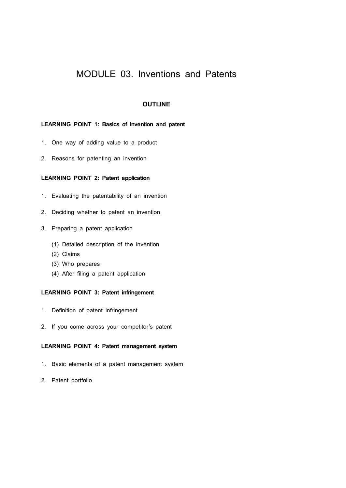# MODULE 03. Inventions and Patents

## **OUTLINE**

## **LEARNING POINT 1: Basics of invention and patent**

- 1. One way of adding value to a product
- 2. Reasons for patenting an invention

## **LEARNING POINT 2: Patent application**

- 1. Evaluating the patentability of an invention
- 2. Deciding whether to patent an invention
- 3. Preparing a patent application
	- (1) Detailed description of the invention
	- (2) Claims
	- (3) Who prepares
	- (4) After filing a patent application

## **LEARNING POINT 3: Patent infringement**

- 1. Definition of patent infringement
- 2. If you come across your competitor's patent

#### **LEARNING POINT 4: Patent management system**

- 1. Basic elements of a patent management system
- 2. Patent portfolio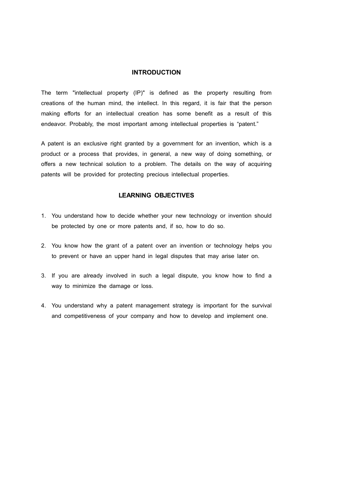## **INTRODUCTION**

The term "intellectual property (IP)" is defined as the property resulting from creations of the human mind, the intellect. In this regard, it is fair that the person making efforts for an intellectual creation has some benefit as a result of this endeavor. Probably, the most important among intellectual properties is "patent."

A patent is an exclusive right granted by a government for an invention, which is a product or a process that provides, in general, a new way of doing something, or offers a new technical solution to a problem. The details on the way of acquiring patents will be provided for protecting precious intellectual properties.

## **LEARNING OBJECTIVES**

- 1. You understand how to decide whether your new technology or invention should be protected by one or more patents and, if so, how to do so.
- 2. You know how the grant of a patent over an invention or technology helps you to prevent or have an upper hand in legal disputes that may arise later on.
- 3. If you are already involved in such a legal dispute, you know how to find a way to minimize the damage or loss.
- 4. You understand why a patent management strategy is important for the survival and competitiveness of your company and how to develop and implement one.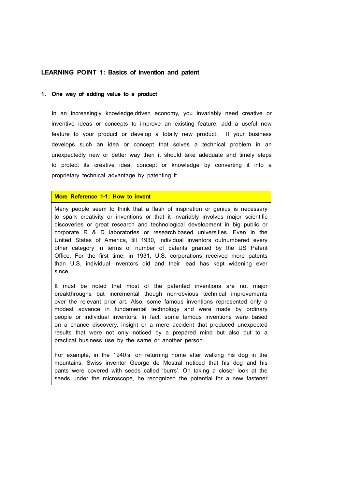## **LEARNING POINT 1: Basics of invention and patent**

#### **1. One way of adding value to a product**

In an increasingly knowledge-driven economy, you invariably need creative or inventive ideas or concepts to improve an existing feature, add a useful new feature to your product or develop a totally new product. If your business develops such an idea or concept that solves a technical problem in an unexpectedly new or better way then it should take adequate and timely steps to protect its creative idea, concept or knowledge by converting it into a proprietary technical advantage by patenting it.

## **More Reference 1**‐**1: How to invent**

Many people seem to think that a flash of inspiration or genius is necessary to spark creativity or inventions or that it invariably involves major scientific discoveries or great research and technological development in big public or corporate R & D laboratories or research-based universities. Even in the United States of America, till 1930, individual inventors outnumbered every other category in terms of number of patents granted by the US Patent Office. For the first time, in 1931, U.S. corporations received more patents than U.S. individual inventors did and their lead has kept widening ever since.

It must be noted that most of the patented inventions are not major breakthroughs but incremental though non‐obvious technical improvements over the relevant prior art. Also, some famous inventions represented only a modest advance in fundamental technology and were made by ordinary people or individual inventors. In fact, some famous inventions were based on a chance discovery, insight or a mere accident that produced unexpected results that were not only noticed by a prepared mind but also put to a practical business use by the same or another person.

For example, in the 1940's, on returning home after walking his dog in the mountains, Swiss inventor George de Mestral noticed that his dog and his pants were covered with seeds called 'burrs'. On taking a closer look at the seeds under the microscope, he recognized the potential for a new fastener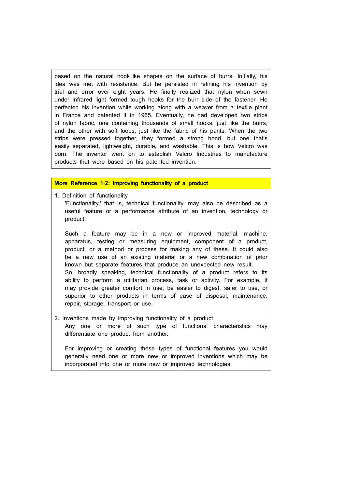based on the natural hook-like shapes on the surface of burrs. Initially, his idea was met with resistance. But he persisted in refining his invention by trial and error over eight years. He finally realized that nylon when sewn under infrared light formed tough hooks for the burr side of the fastener. He perfected his invention while working along with a weaver from a textile plant in France and patented it in 1955. Eventually, he had developed two strips of nylon fabric, one containing thousands of small hooks, just like the burrs, and the other with soft loops, just like the fabric of his pants. When the two strips were pressed together, they formed a strong bond, but one that's easily separated, lightweight, durable, and washable. This is how Velcro was born. The inventor went on to establish Velcro Industries to manufacture products that were based on his patented invention.

## **More Reference 1**‐**2: Improving functionality of a product**

1. Definition of functionality 'Functionality,' that is, technical functionality, may also be described as a useful feature or a performance attribute of an invention, technology or product.

Such a feature may be in a new or improved material, machine, apparatus, testing or measuring equipment, component of a product, product, or a method or process for making any of these. It could also be a new use of an existing material or a new combination of prior known but separate features that produce an unexpected new result. So, broadly speaking, technical functionality of a product refers to its ability to perform a utilitarian process, task or activity. For example, it may provide greater comfort in use, be easier to digest, safer to use, or superior to other products in terms of ease of disposal, maintenance, repair, storage, transport or use.

2. Inventions made by improving functionality of a product Any one or more of such type of functional characteristics may differentiate one product from another.

For improving or creating these types of functional features you would generally need one or more new or improved inventions which may be incorporated into one or more new or improved technologies.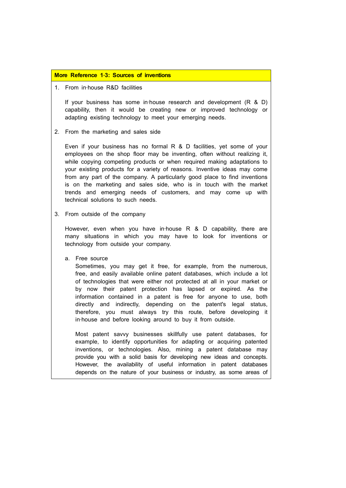#### **More Reference 1**‐**3: Sources of inventions**

## 1. From in‐house R&D facilities

If your business has some in‐house research and development (R & D) capability, then it would be creating new or improved technology or adapting existing technology to meet your emerging needs.

2. From the marketing and sales side

Even if your business has no formal R & D facilities, yet some of your employees on the shop floor may be inventing, often without realizing it, while copying competing products or when required making adaptations to your existing products for a variety of reasons. Inventive ideas may come from any part of the company. A particularly good place to find inventions is on the marketing and sales side, who is in touch with the market trends and emerging needs of customers, and may come up with technical solutions to such needs.

3. From outside of the company

However, even when you have in-house  $R$  & D capability, there are many situations in which you may have to look for inventions or technology from outside your company.

a. Free source

Sometimes, you may get it free, for example, from the numerous, free, and easily available online patent databases, which include a lot of technologies that were either not protected at all in your market or by now their patent protection has lapsed or expired. As the information contained in a patent is free for anyone to use, both directly and indirectly, depending on the patent's legal status, therefore, you must always try this route, before developing it in‐house and before looking around to buy it from outside.

Most patent savvy businesses skillfully use patent databases, for example, to identify opportunities for adapting or acquiring patented inventions, or technologies. Also, mining a patent database may provide you with a solid basis for developing new ideas and concepts. However, the availability of useful information in patent databases depends on the nature of your business or industry, as some areas of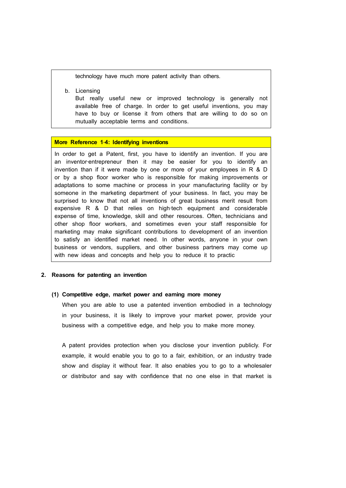technology have much more patent activity than others.

b. Licensing

But really useful new or improved technology is generally not available free of charge. In order to get useful inventions, you may have to buy or license it from others that are willing to do so on mutually acceptable terms and conditions.

### **More Reference 1**‐**4: Identifying inventions**

In order to get a Patent, first, you have to identify an invention. If you are an inventor-entrepreneur then it may be easier for you to identify an invention than if it were made by one or more of your employees in R & D or by a shop floor worker who is responsible for making improvements or adaptations to some machine or process in your manufacturing facility or by someone in the marketing department of your business. In fact, you may be surprised to know that not all inventions of great business merit result from expensive R & D that relies on high-tech equipment and considerable expense of time, knowledge, skill and other resources. Often, technicians and other shop floor workers, and sometimes even your staff responsible for marketing may make significant contributions to development of an invention to satisfy an identified market need. In other words, anyone in your own business or vendors, suppliers, and other business partners may come up with new ideas and concepts and help you to reduce it to practic

#### **2. Reasons for patenting an invention**

#### **(1) Competitive edge, market power and earning more money**

When you are able to use a patented invention embodied in a technology in your business, it is likely to improve your market power, provide your business with a competitive edge, and help you to make more money.

A patent provides protection when you disclose your invention publicly. For example, it would enable you to go to a fair, exhibition, or an industry trade show and display it without fear. It also enables you to go to a wholesaler or distributor and say with confidence that no one else in that market is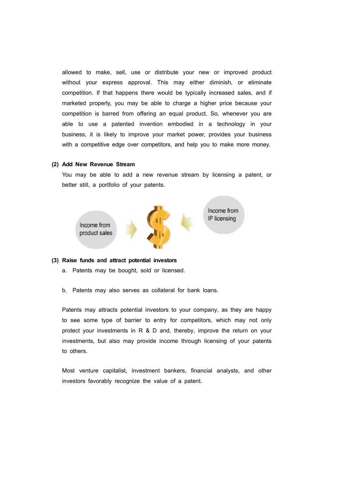allowed to make, sell, use or distribute your new or improved product without your express approval. This may either diminish, or eliminate competition. If that happens there would be typically increased sales, and if marketed properly, you may be able to charge a higher price because your competition is barred from offering an equal product. So, whenever you are able to use a patented invention embodied in a technology in your business, it is likely to improve your market power, provides your business with a competitive edge over competitors, and help you to make more money.

#### **(2) Add New Revenue Stream**

You may be able to add a new revenue stream by licensing a patent, or better still, a portfolio of your patents.



#### **(3) Raise funds and attract potential investors**

- a. Patents may be bought, sold or licensed.
- b. Patents may also serves as collateral for bank loans.

Patents may attracts potential investors to your company, as they are happy to see some type of barrier to entry for competitors, which may not only protect your investments in R & D and, thereby, improve the return on your investments, but also may provide income through licensing of your patents to others.

Most venture capitalist, investment bankers, financial analysts, and other investors favorably recognize the value of a patent.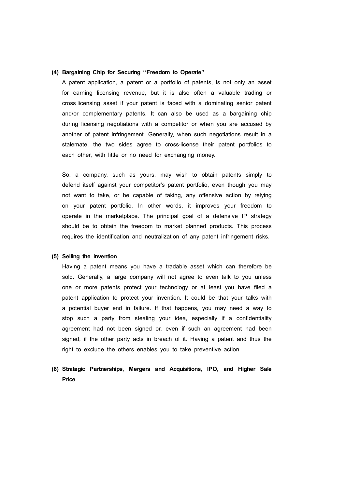#### **(4) Bargaining Chip for Securing "Freedom to Operate"**

A patent application, a patent or a portfolio of patents, is not only an asset for earning licensing revenue, but it is also often a valuable trading or cross‐licensing asset if your patent is faced with a dominating senior patent and/or complementary patents. It can also be used as a bargaining chip during licensing negotiations with a competitor or when you are accused by another of patent infringement. Generally, when such negotiations result in a stalemate, the two sides agree to cross-license their patent portfolios to each other, with little or no need for exchanging money.

So, a company, such as yours, may wish to obtain patents simply to defend itself against your competitor's patent portfolio, even though you may not want to take, or be capable of taking, any offensive action by relying on your patent portfolio. In other words, it improves your freedom to operate in the marketplace. The principal goal of a defensive IP strategy should be to obtain the freedom to market planned products. This process requires the identification and neutralization of any patent infringement risks.

#### **(5) Selling the invention**

Having a patent means you have a tradable asset which can therefore be sold. Generally, a large company will not agree to even talk to you unless one or more patents protect your technology or at least you have filed a patent application to protect your invention. It could be that your talks with a potential buyer end in failure. If that happens, you may need a way to stop such a party from stealing your idea, especially if a confidentiality agreement had not been signed or, even if such an agreement had been signed, if the other party acts in breach of it. Having a patent and thus the right to exclude the others enables you to take preventive action

## **(6) Strategic Partnerships, Mergers and Acquisitions, IPO, and Higher Sale Price**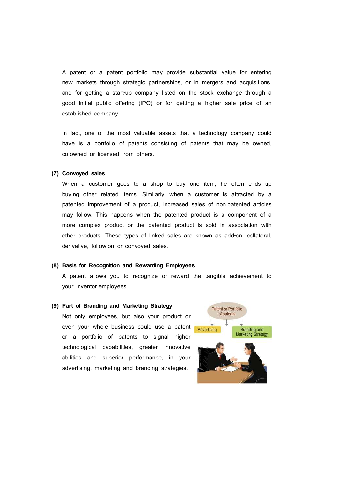A patent or a patent portfolio may provide substantial value for entering new markets through strategic partnerships, or in mergers and acquisitions, and for getting a start-up company listed on the stock exchange through a good initial public offering (IPO) or for getting a higher sale price of an established company.

In fact, one of the most valuable assets that a technology company could have is a portfolio of patents consisting of patents that may be owned, co-owned or licensed from others.

#### **(7) Convoyed sales**

When a customer goes to a shop to buy one item, he often ends up buying other related items. Similarly, when a customer is attracted by a patented improvement of a product, increased sales of non-patented articles may follow. This happens when the patented product is a component of a more complex product or the patented product is sold in association with other products. These types of linked sales are known as add‐on, collateral, derivative, follow-on or convoyed sales.

#### **(8) Basis for Recognition and Rewarding Employees**

A patent allows you to recognize or reward the tangible achievement to your inventor-employees.

#### **(9) Part of Branding and Marketing Strategy**

Not only employees, but also your product or even your whole business could use a patent **Advertising** or a portfolio of patents to signal higher technological capabilities, greater innovative abilities and superior performance, in your advertising, marketing and branding strategies.

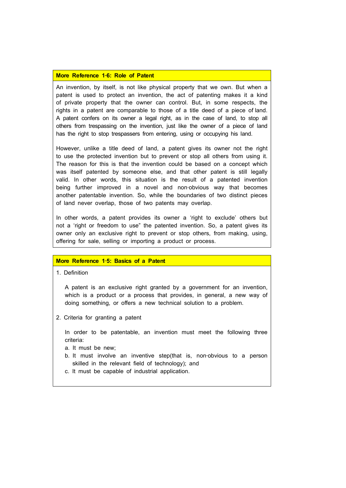#### **More Reference 1**‐**6: Role of Patent**

An invention, by itself, is not like physical property that we own. But when a patent is used to protect an invention, the act of patenting makes it a kind of private property that the owner can control. But, in some respects, the rights in a patent are comparable to those of a title deed of a piece of land. A patent confers on its owner a legal right, as in the case of land, to stop all others from trespassing on the invention, just like the owner of a piece of land has the right to stop trespassers from entering, using or occupying his land.

However, unlike a title deed of land, a patent gives its owner not the right to use the protected invention but to prevent or stop all others from using it. The reason for this is that the invention could be based on a concept which was itself patented by someone else, and that other patent is still legally valid. In other words, this situation is the result of a patented invention being further improved in a novel and non-obvious way that becomes another patentable invention. So, while the boundaries of two distinct pieces of land never overlap, those of two patents may overlap.

In other words, a patent provides its owner a 'right to exclude' others but not a 'right or freedom to use" the patented invention. So, a patent gives its owner only an exclusive right to prevent or stop others, from making, using, offering for sale, selling or importing a product or process.

## **More Reference 1**‐**5: Basics of a Patent**

1. Definition

A patent is an exclusive right granted by a government for an invention, which is a product or a process that provides, in general, a new way of doing something, or offers a new technical solution to a problem.

2. Criteria for granting a patent

In order to be patentable, an invention must meet the following three criteria:

- a. It must be new;
- b. It must involve an inventive step(that is, non‐obvious to a person skilled in the relevant field of technology); and
- c. It must be capable of industrial application.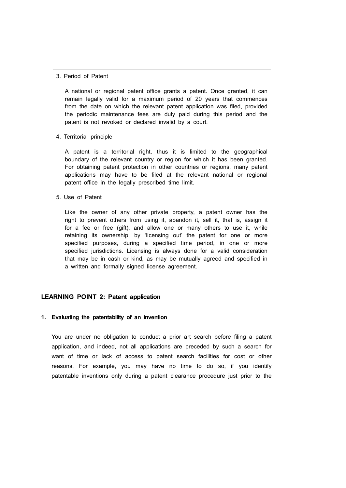## 3. Period of Patent

A national or regional patent office grants a patent. Once granted, it can remain legally valid for a maximum period of 20 years that commences from the date on which the relevant patent application was filed, provided the periodic maintenance fees are duly paid during this period and the patent is not revoked or declared invalid by a court.

4. Territorial principle

A patent is a territorial right, thus it is limited to the geographical boundary of the relevant country or region for which it has been granted. For obtaining patent protection in other countries or regions, many patent applications may have to be filed at the relevant national or regional patent office in the legally prescribed time limit.

5. Use of Patent

Like the owner of any other private property, a patent owner has the right to prevent others from using it, abandon it, sell it, that is, assign it for a fee or free (gift), and allow one or many others to use it, while retaining its ownership, by 'licensing out' the patent for one or more specified purposes, during a specified time period, in one or more specified jurisdictions. Licensing is always done for a valid consideration that may be in cash or kind, as may be mutually agreed and specified in a written and formally signed license agreement.

## **LEARNING POINT 2: Patent application**

### **1. Evaluating the patentability of an invention**

You are under no obligation to conduct a prior art search before filing a patent application, and indeed, not all applications are preceded by such a search for want of time or lack of access to patent search facilities for cost or other reasons. For example, you may have no time to do so, if you identify patentable inventions only during a patent clearance procedure just prior to the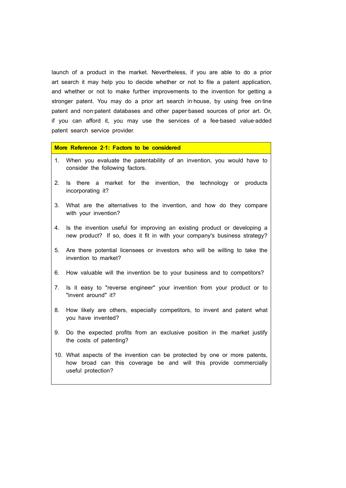launch of a product in the market. Nevertheless, if you are able to do a prior art search it may help you to decide whether or not to file a patent application, and whether or not to make further improvements to the invention for getting a stronger patent. You may do a prior art search in-house, by using free on-line patent and non-patent databases and other paper-based sources of prior art. Or, if you can afford it, you may use the services of a fee-based value-added patent search service provider.

## **More Reference 2**‐**1: Factors to be considered**

- 1. When you evaluate the patentability of an invention, you would have to consider the following factors.
- 2. Is there a market for the invention, the technology or products incorporating it?
- 3. What are the alternatives to the invention, and how do they compare with your invention?
- 4. Is the invention useful for improving an existing product or developing a new product? If so, does it fit in with your company's business strategy?
- 5. Are there potential licensees or investors who will be willing to take the invention to market?
- 6. How valuable will the invention be to your business and to competitors?
- 7. Is it easy to "reverse engineer" your invention from your product or to "invent around" it?
- 8. How likely are others, especially competitors, to invent and patent what you have invented?
- 9. Do the expected profits from an exclusive position in the market justify the costs of patenting?
- 10. What aspects of the invention can be protected by one or more patents, how broad can this coverage be and will this provide commercially useful protection?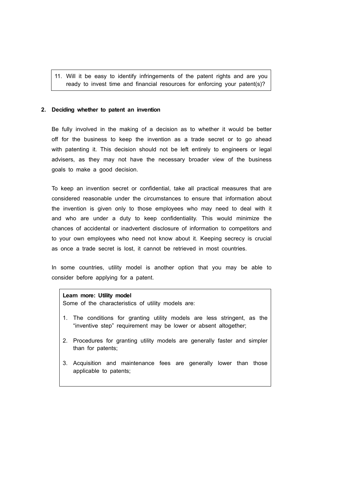11. Will it be easy to identify infringements of the patent rights and are you ready to invest time and financial resources for enforcing your patent(s)?

## **2. Deciding whether to patent an invention**

Be fully involved in the making of a decision as to whether it would be better off for the business to keep the invention as a trade secret or to go ahead with patenting it. This decision should not be left entirely to engineers or legal advisers, as they may not have the necessary broader view of the business goals to make a good decision.

To keep an invention secret or confidential, take all practical measures that are considered reasonable under the circumstances to ensure that information about the invention is given only to those employees who may need to deal with it and who are under a duty to keep confidentiality. This would minimize the chances of accidental or inadvertent disclosure of information to competitors and to your own employees who need not know about it. Keeping secrecy is crucial as once a trade secret is lost, it cannot be retrieved in most countries.

In some countries, utility model is another option that you may be able to consider before applying for a patent.

#### **Learn more: Utility model**

Some of the characteristics of utility models are:

- 1. The conditions for granting utility models are less stringent, as the "inventive step" requirement may be lower or absent altogether;
- 2. Procedures for granting utility models are generally faster and simpler than for patents;
- 3. Acquisition and maintenance fees are generally lower than those applicable to patents;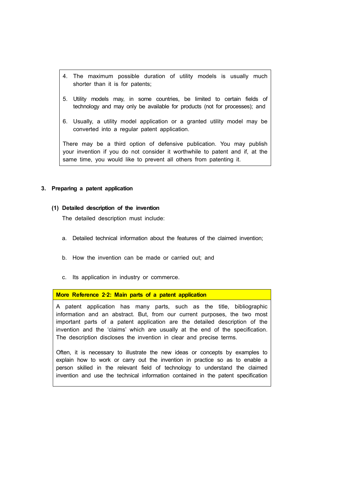- 4. The maximum possible duration of utility models is usually much shorter than it is for patents;
- 5. Utility models may, in some countries, be limited to certain fields of technology and may only be available for products (not for processes); and
- 6. Usually, a utility model application or a granted utility model may be converted into a regular patent application.

There may be a third option of defensive publication. You may publish your invention if you do not consider it worthwhile to patent and if, at the same time, you would like to prevent all others from patenting it.

## **3. Preparing a patent application**

#### **(1) Detailed description of the invention**

The detailed description must include:

- a. Detailed technical information about the features of the claimed invention;
- b. How the invention can be made or carried out; and
- c. Its application in industry or commerce.

#### **More Reference 2**‐**2: Main parts of a patent application**

A patent application has many parts, such as the title, bibliographic information and an abstract. But, from our current purposes, the two most important parts of a patent application are the detailed description of the invention and the 'claims' which are usually at the end of the specification. The description discloses the invention in clear and precise terms.

Often, it is necessary to illustrate the new ideas or concepts by examples to explain how to work or carry out the invention in practice so as to enable a person skilled in the relevant field of technology to understand the claimed invention and use the technical information contained in the patent specification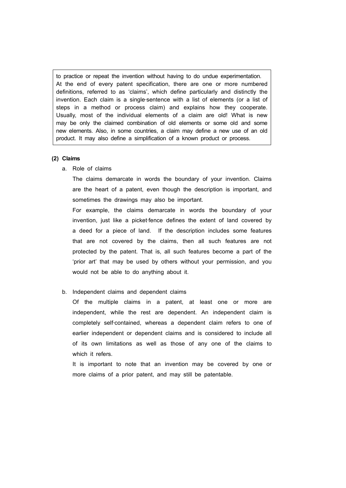to practice or repeat the invention without having to do undue experimentation. At the end of every patent specification, there are one or more numbered definitions, referred to as 'claims', which define particularly and distinctly the invention. Each claim is a single-sentence with a list of elements (or a list of steps in a method or process claim) and explains how they cooperate. Usually, most of the individual elements of a claim are old! What is new may be only the claimed combination of old elements or some old and some new elements. Also, in some countries, a claim may define a new use of an old product. It may also define a simplification of a known product or process.

#### **(2) Claims**

a. Role of claims

The claims demarcate in words the boundary of your invention. Claims are the heart of a patent, even though the description is important, and sometimes the drawings may also be important.

For example, the claims demarcate in words the boundary of your invention, just like a picket-fence defines the extent of land covered by a deed for a piece of land. If the description includes some features that are not covered by the claims, then all such features are not protected by the patent. That is, all such features become a part of the 'prior art' that may be used by others without your permission, and you would not be able to do anything about it.

## b. Independent claims and dependent claims

Of the multiple claims in a patent, at least one or more are independent, while the rest are dependent. An independent claim is completely self-contained, whereas a dependent claim refers to one of earlier independent or dependent claims and is considered to include all of its own limitations as well as those of any one of the claims to which it refers.

It is important to note that an invention may be covered by one or more claims of a prior patent, and may still be patentable.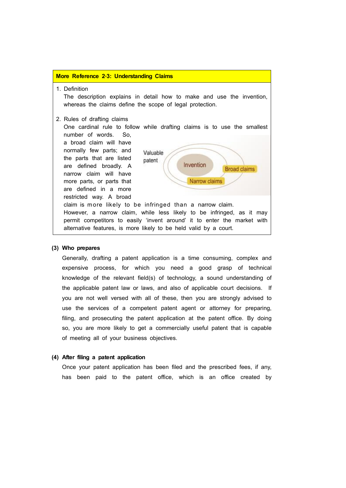#### **More Reference 2**‐**3: Understanding Claims**

1. Definition

The description explains in detail how to make and use the invention, whereas the claims define the scope of legal protection.

#### 2. Rules of drafting claims

One cardinal rule to follow while drafting claims is to use the smallest number of words. So,

a broad claim will have normally few parts; and the parts that are listed patent are defined broadly. A narrow claim will have more parts, or parts that are defined in a more restricted way. A broad



## **(3) Who prepares**

Generally, drafting a patent application is a time consuming, complex and expensive process, for which you need a good grasp of technical knowledge of the relevant field(s) of technology, a sound understanding of the applicable patent law or laws, and also of applicable court decisions. If you are not well versed with all of these, then you are strongly advised to use the services of a competent patent agent or attorney for preparing, filing, and prosecuting the patent application at the patent office. By doing so, you are more likely to get a commercially useful patent that is capable of meeting all of your business objectives.

#### **(4) After filing a patent application**

Once your patent application has been filed and the prescribed fees, if any, has been paid to the patent office, which is an office created by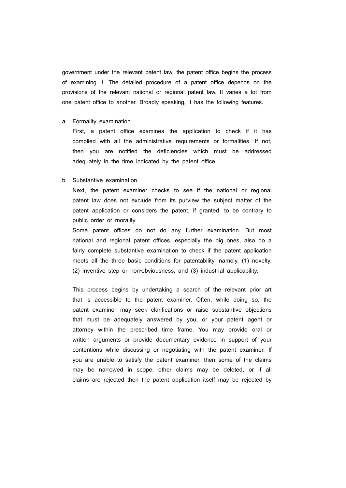government under the relevant patent law, the patent office begins the process of examining it. The detailed procedure of a patent office depends on the provisions of the relevant national or regional patent law. It varies a lot from one patent office to another. Broadly speaking, it has the following features.

#### a. Formality examination

First, a patent office examines the application to check if it has complied with all the administrative requirements or formalities. If not, then you are notified the deficiencies which must be addressed adequately in the time indicated by the patent office.

#### b. Substantive examination

Next, the patent examiner checks to see if the national or regional patent law does not exclude from its purview the subject matter of the patent application or considers the patent, if granted, to be contrary to public order or morality.

Some patent offices do not do any further examination. But most national and regional patent offices, especially the big ones, also do a fairly complete substantive examination to check if the patent application meets all the three basic conditions for patentability, namely, (1) novelty, (2) inventive step or non‐obviousness, and (3) industrial applicability.

This process begins by undertaking a search of the relevant prior art that is accessible to the patent examiner. Often, while doing so, the patent examiner may seek clarifications or raise substantive objections that must be adequately answered by you, or your patent agent or attorney within the prescribed time frame. You may provide oral or written arguments or provide documentary evidence in support of your contentions while discussing or negotiating with the patent examiner. If you are unable to satisfy the patent examiner, then some of the claims may be narrowed in scope, other claims may be deleted, or if all claims are rejected then the patent application itself may be rejected by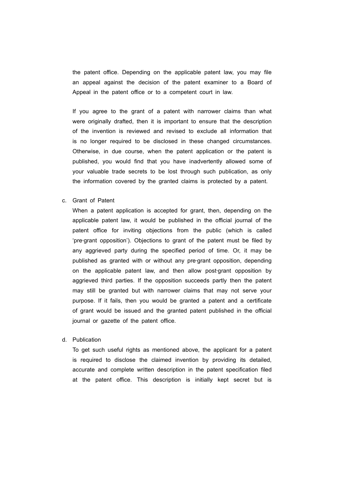the patent office. Depending on the applicable patent law, you may file an appeal against the decision of the patent examiner to a Board of Appeal in the patent office or to a competent court in law.

If you agree to the grant of a patent with narrower claims than what were originally drafted, then it is important to ensure that the description of the invention is reviewed and revised to exclude all information that is no longer required to be disclosed in these changed circumstances. Otherwise, in due course, when the patent application or the patent is published, you would find that you have inadvertently allowed some of your valuable trade secrets to be lost through such publication, as only the information covered by the granted claims is protected by a patent.

c. Grant of Patent

When a patent application is accepted for grant, then, depending on the applicable patent law, it would be published in the official journal of the patent office for inviting objections from the public (which is called 'pre‐grant opposition'). Objections to grant of the patent must be filed by any aggrieved party during the specified period of time. Or, it may be published as granted with or without any pre‐grant opposition, depending on the applicable patent law, and then allow post-grant opposition by aggrieved third parties. If the opposition succeeds partly then the patent may still be granted but with narrower claims that may not serve your purpose. If it fails, then you would be granted a patent and a certificate of grant would be issued and the granted patent published in the official journal or gazette of the patent office.

d. Publication

To get such useful rights as mentioned above, the applicant for a patent is required to disclose the claimed invention by providing its detailed, accurate and complete written description in the patent specification filed at the patent office. This description is initially kept secret but is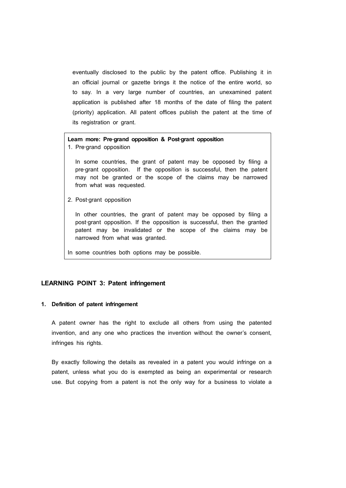eventually disclosed to the public by the patent office. Publishing it in an official journal or gazette brings it the notice of the entire world, so to say. In a very large number of countries, an unexamined patent application is published after 18 months of the date of filing the patent (priority) application. All patent offices publish the patent at the time of its registration or grant.

## **Learn more: Pre**‐**grand opposition & Post**‐**grant opposition**

1. Pre‐grand opposition

In some countries, the grant of patent may be opposed by filing a pre-grant opposition. If the opposition is successful, then the patent may not be granted or the scope of the claims may be narrowed from what was requested.

2. Post‐grant opposition

In other countries, the grant of patent may be opposed by filing a post-grant opposition. If the opposition is successful, then the granted patent may be invalidated or the scope of the claims may be narrowed from what was granted.

In some countries both options may be possible.

## **LEARNING POINT 3: Patent infringement**

## **1. Definition of patent infringement**

A patent owner has the right to exclude all others from using the patented invention, and any one who practices the invention without the owner's consent, infringes his rights.

By exactly following the details as revealed in a patent you would infringe on a patent, unless what you do is exempted as being an experimental or research use. But copying from a patent is not the only way for a business to violate a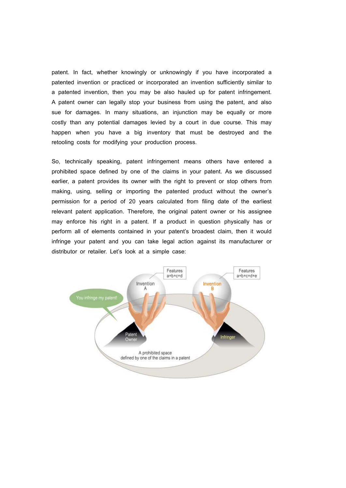patent. In fact, whether knowingly or unknowingly if you have incorporated a patented invention or practiced or incorporated an invention sufficiently similar to a patented invention, then you may be also hauled up for patent infringement. A patent owner can legally stop your business from using the patent, and also sue for damages. In many situations, an injunction may be equally or more costly than any potential damages levied by a court in due course. This may happen when you have a big inventory that must be destroyed and the retooling costs for modifying your production process.

So, technically speaking, patent infringement means others have entered a prohibited space defined by one of the claims in your patent. As we discussed earlier, a patent provides its owner with the right to prevent or stop others from making, using, selling or importing the patented product without the owner's permission for a period of 20 years calculated from filing date of the earliest relevant patent application. Therefore, the original patent owner or his assignee may enforce his right in a patent. If a product in question physically has or perform all of elements contained in your patent's broadest claim, then it would infringe your patent and you can take legal action against its manufacturer or distributor or retailer. Let's look at a simple case:

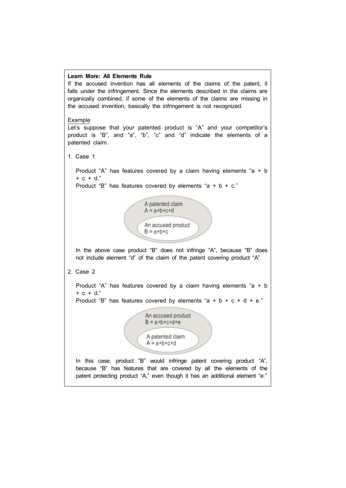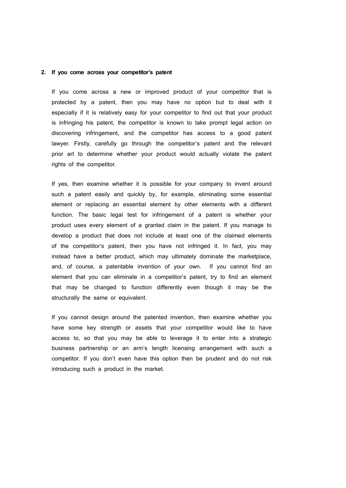## **2. If you come across your competitor's patent**

If you come across a new or improved product of your competitor that is protected by a patent, then you may have no option but to deal with it especially if it is relatively easy for your competitor to find out that your product is infringing his patent, the competitor is known to take prompt legal action on discovering infringement, and the competitor has access to a good patent lawyer. Firstly, carefully go through the competitor's patent and the relevant prior art to determine whether your product would actually violate the patent rights of the competitor.

If yes, then examine whether it is possible for your company to invent around such a patent easily and quickly by, for example, eliminating some essential element or replacing an essential element by other elements with a different function. The basic legal test for infringement of a patent is whether your product uses every element of a granted claim in the patent. If you manage to develop a product that does not include at least one of the claimed elements of the competitor's patent, then you have not infringed it. In fact, you may instead have a better product, which may ultimately dominate the marketplace, and, of course, a patentable invention of your own. If you cannot find an element that you can eliminate in a competitor's patent, try to find an element that may be changed to function differently even though it may be the structurally the same or equivalent.

If you cannot design around the patented invention, then examine whether you have some key strength or assets that your competitor would like to have access to, so that you may be able to leverage it to enter into a strategic business partnership or an arm's length licensing arrangement with such a competitor. If you don't even have this option then be prudent and do not risk introducing such a product in the market.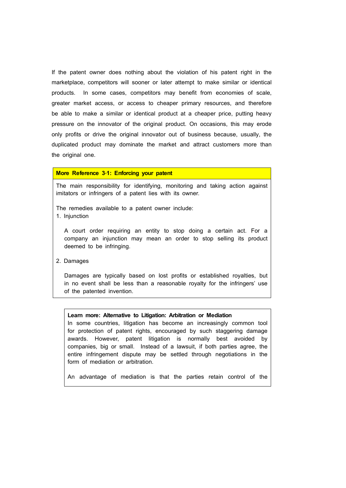If the patent owner does nothing about the violation of his patent right in the marketplace, competitors will sooner or later attempt to make similar or identical products. In some cases, competitors may benefit from economies of scale, greater market access, or access to cheaper primary resources, and therefore be able to make a similar or identical product at a cheaper price, putting heavy pressure on the innovator of the original product. On occasions, this may erode only profits or drive the original innovator out of business because, usually, the duplicated product may dominate the market and attract customers more than the original one.

## **More Reference 3**‐**1: Enforcing your patent**

The main responsibility for identifying, monitoring and taking action against imitators or infringers of a patent lies with its owner.

The remedies available to a patent owner include: 1. Injunction

A court order requiring an entity to stop doing a certain act. For a company an injunction may mean an order to stop selling its product deemed to be infringing.

2. Damages

Damages are typically based on lost profits or established royalties, but in no event shall be less than a reasonable royalty for the infringers' use of the patented invention.

#### **Learn more: Alternative to Litigation: Arbitration or Mediation**

In some countries, litigation has become an increasingly common tool for protection of patent rights, encouraged by such staggering damage awards. However, patent litigation is normally best avoided by companies, big or small. Instead of a lawsuit, if both parties agree, the entire infringement dispute may be settled through negotiations in the form of mediation or arbitration.

An advantage of mediation is that the parties retain control of the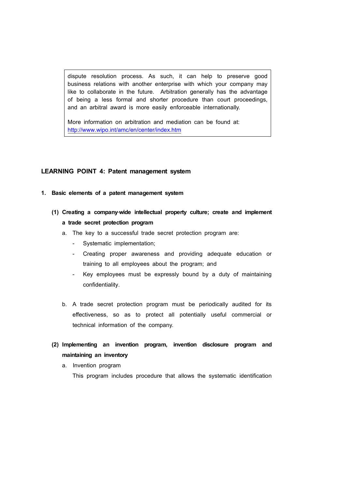dispute resolution process. As such, it can help to preserve good business relations with another enterprise with which your company may like to collaborate in the future. Arbitration generally has the advantage of being a less formal and shorter procedure than court proceedings, and an arbitral award is more easily enforceable internationally.

More information on arbitration and mediation can be found at: http://www.wipo.int/amc/en/center/index.htm

## **LEARNING POINT 4: Patent management system**

- **1. Basic elements of a patent management system**
	- **(1) Creating a company**‐**wide intellectual property culture; create and implement a trade secret protection program**
		- a. The key to a successful trade secret protection program are:
			- Systematic implementation;
			- Creating proper awareness and providing adequate education or training to all employees about the program; and
			- Key employees must be expressly bound by a duty of maintaining confidentiality.
		- b. A trade secret protection program must be periodically audited for its effectiveness, so as to protect all potentially useful commercial or technical information of the company.
	- **(2) Implementing an invention program, invention disclosure program and maintaining an inventory**
		- a. Invention program

This program includes procedure that allows the systematic identification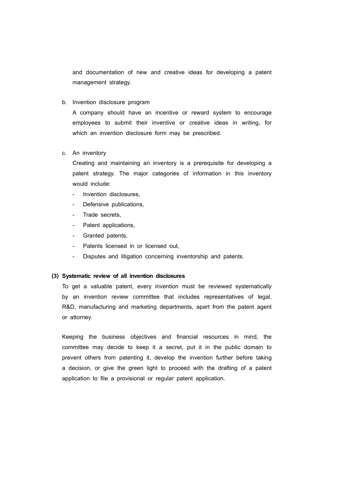and documentation of new and creative ideas for developing a patent management strategy.

b. Invention disclosure program

A company should have an incentive or reward system to encourage employees to submit their inventive or creative ideas in writing, for which an invention disclosure form may be prescribed.

## c. An inventory

Creating and maintaining an inventory is a prerequisite for developing a patent strategy. The major categories of information in this inventory

- 
- would include:<br>- Invention disclosures,<br>- Defensive publications,<br>- Trade secrets,<br>- Patent applications,<br>- Granted patents,
- 
- 
- 
- 
- Patents licensed in or licensed out,<br>Disputes and litigation concerning inventorship and patents.

### **(3) Systematic review of all invention disclosures**

To get a valuable patent, every invention must be reviewed systematically by an invention review committee that includes representatives of legal, R&D, manufacturing and marketing departments, apart from the patent agent or attorney.

Keeping the business objectives and financial resources in mind, the committee may decide to keep it a secret, put it in the public domain to prevent others from patenting it, develop the invention further before taking a decision, or give the green light to proceed with the drafting of a patent application to file a provisional or regular patent application.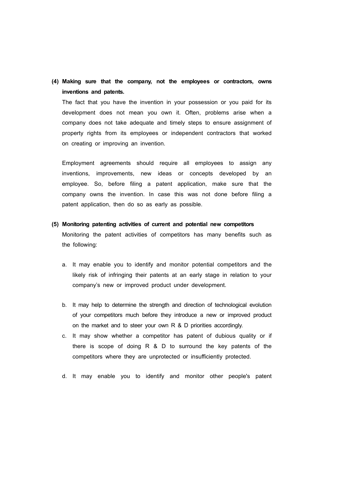**(4) Making sure that the company, not the employees or contractors, owns inventions and patents.**

The fact that you have the invention in your possession or you paid for its development does not mean you own it. Often, problems arise when a company does not take adequate and timely steps to ensure assignment of property rights from its employees or independent contractors that worked on creating or improving an invention.

Employment agreements should require all employees to assign any inventions, improvements, new ideas or concepts developed by an employee. So, before filing a patent application, make sure that the company owns the invention. In case this was not done before filing a patent application, then do so as early as possible.

**(5) Monitoring patenting activities of current and potential new competitors**

Monitoring the patent activities of competitors has many benefits such as the following:

- a. It may enable you to identify and monitor potential competitors and the likely risk of infringing their patents at an early stage in relation to your company's new or improved product under development.
- b. It may help to determine the strength and direction of technological evolution of your competitors much before they introduce a new or improved product on the market and to steer your own R & D priorities accordingly.
- c. It may show whether a competitor has patent of dubious quality or if there is scope of doing R & D to surround the key patents of the competitors where they are unprotected or insufficiently protected.
- d. It may enable you to identify and monitor other people's patent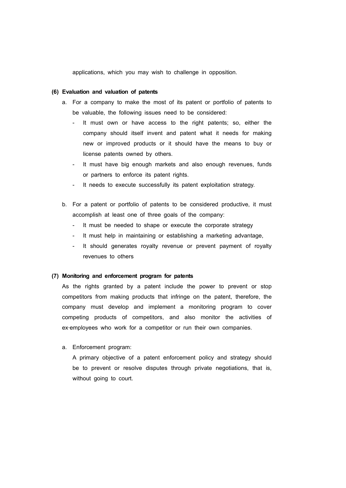applications, which you may wish to challenge in opposition.

## **(6) Evaluation and valuation of patents**

- a. For a company to make the most of its patent or portfolio of patents to be valuable, the following issues need to be considered:
	- It must own or have access to the right patents; so, either the company should itself invent and patent what it needs for making new or improved products or it should have the means to buy or license patents owned by others.
	- It must have big enough markets and also enough revenues, funds or partners to enforce its patent rights.
	- It needs to execute successfully its patent exploitation strategy.
- b. For a patent or portfolio of patents to be considered productive, it must accomplish at least one of three goals of the company:
	- It must be needed to shape or execute the corporate strategy
	- It must help in maintaining or establishing a marketing advantage,
	- It should generates royalty revenue or prevent payment of royalty revenues to others

### **(7) Monitoring and enforcement program for patents**

As the rights granted by a patent include the power to prevent or stop competitors from making products that infringe on the patent, therefore, the company must develop and implement a monitoring program to cover competing products of competitors, and also monitor the activities of ex-employees who work for a competitor or run their own companies.

a. Enforcement program:

A primary objective of a patent enforcement policy and strategy should be to prevent or resolve disputes through private negotiations, that is, without going to court.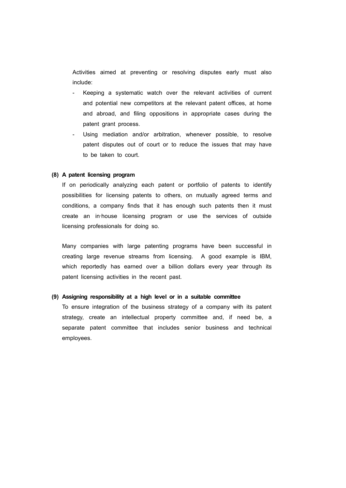Activities aimed at preventing or resolving disputes early must also include:

- Keeping a systematic watch over the relevant activities of current and potential new competitors at the relevant patent offices, at home and abroad, and filing oppositions in appropriate cases during the patent grant process.
- Using mediation and/or arbitration, whenever possible, to resolve patent disputes out of court or to reduce the issues that may have to be taken to court.

#### **(8) A patent licensing program**

If on periodically analyzing each patent or portfolio of patents to identify possibilities for licensing patents to others, on mutually agreed terms and conditions, a company finds that it has enough such patents then it must create an in‐house licensing program or use the services of outside licensing professionals for doing so.

Many companies with large patenting programs have been successful in creating large revenue streams from licensing. A good example is IBM, which reportedly has earned over a billion dollars every year through its patent licensing activities in the recent past.

#### **(9) Assigning responsibility at a high level or in a suitable committee**

To ensure integration of the business strategy of a company with its patent strategy, create an intellectual property committee and, if need be, a separate patent committee that includes senior business and technical employees.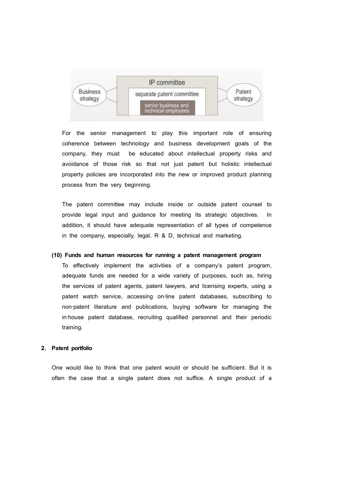

For the senior management to play this important role of ensuring coherence between technology and business development goals of the company, they must be educated about intellectual property risks and avoidance of those risk so that not just patent but holistic intellectual property policies are incorporated into the new or improved product planning process from the very beginning.

The patent committee may include inside or outside patent counsel to provide legal input and guidance for meeting its strategic objectives. In addition, it should have adequate representation of all types of competence in the company, especially, legal, R & D, technical and marketing.

## **(10) Funds and human resources for running a patent management program**

To effectively implement the activities of a company's patent program, adequate funds are needed for a wide variety of purposes, such as, hiring the services of patent agents, patent lawyers, and licensing experts, using a patent watch service, accessing on-line patent databases, subscribing to non‐patent literature and publications, buying software for managing the in‐house patent database, recruiting qualified personnel and their periodic training.

## **2. Patent portfolio**

One would like to think that one patent would or should be sufficient. But it is often the case that a single patent does not suffice. A single product of a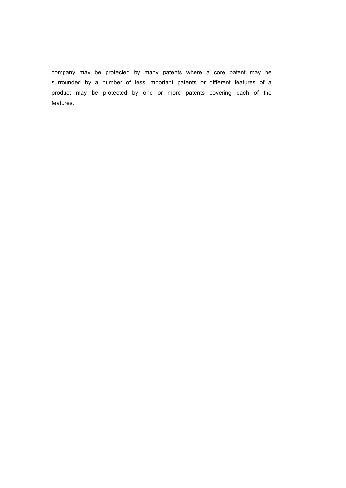company may be protected by many patents where a core patent may be surrounded by a number of less important patents or different features of a product may be protected by one or more patents covering each of the features.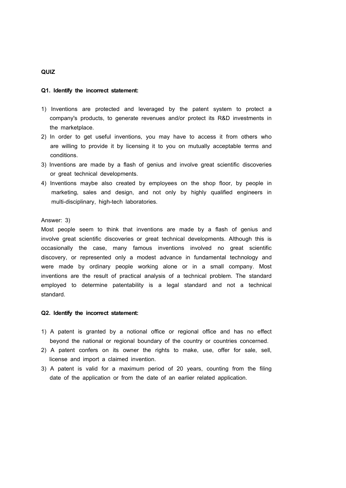## **QUIZ**

#### **Q1. Identify the incorrect statement:**

- 1) Inventions are protected and leveraged by the patent system to protect a company's products, to generate revenues and/or protect its R&D investments in the marketplace.
- 2) In order to get useful inventions, you may have to access it from others who are willing to provide it by licensing it to you on mutually acceptable terms and conditions.
- 3) Inventions are made by a flash of genius and involve great scientific discoveries or great technical developments.
- 4) Inventions maybe also created by employees on the shop floor, by people in marketing, sales and design, and not only by highly qualified engineers in multi-disciplinary, high-tech laboratories.

## Answer: 3)

Most people seem to think that inventions are made by a flash of genius and involve great scientific discoveries or great technical developments. Although this is occasionally the case, many famous inventions involved no great scientific discovery, or represented only a modest advance in fundamental technology and were made by ordinary people working alone or in a small company. Most inventions are the result of practical analysis of a technical problem. The standard employed to determine patentability is a legal standard and not a technical standard.

#### **Q2. Identify the incorrect statement:**

- 1) A patent is granted by a notional office or regional office and has no effect beyond the national or regional boundary of the country or countries concerned.
- 2) A patent confers on its owner the rights to make, use, offer for sale, sell, license and import a claimed invention.
- 3) A patent is valid for a maximum period of 20 years, counting from the filing date of the application or from the date of an earlier related application.